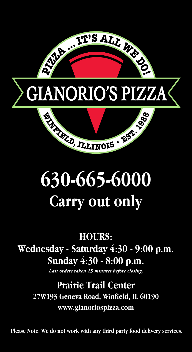

# **630-665-6000 Carry out only**

**HOURS: Wednesday - Saturday 4:30 - 9:00 p.m. Sunday 4:30 - 8:00 p.m.**

*Last orders taken 15 minutes before closing.*

**Prairie Trail Center 27W193 Geneva Road, Winfield, IL 60190 www.gianoriospizza.com**

**Please Note: We do not work with any third party food delivery services.**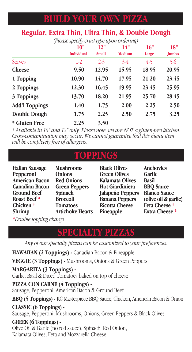# **BUILD YOUR OWN PIZZA**

#### **Regular, Extra Thin, Ultra Thin, & Double Dough**

*(Pleasespecifycrust type upon ordering)*

|                             | 10"<br><b>Individual</b> | 12"<br><b>Small</b> | 14"<br><b>Medium</b> | 16"<br>Large | 18"<br>Jumbo |
|-----------------------------|--------------------------|---------------------|----------------------|--------------|--------------|
| Serves                      | $1-2$                    | $2 - 3$             | $3-4$                | $4-5$        | $5-6$        |
| <b>Cheese</b>               | 9.50                     | 12.95               | 15.95                | 18.95        | 20.95        |
| 1 Topping                   | 10.90                    | 14.70               | 17.95                | 21.20        | 23.45        |
| 2 Toppings                  | 12.30                    | 16.45               | 19.95                | 23.45        | 25.95        |
| 3 Toppings                  | 13.70                    | 18.20               | 21.95                | 25.70        | 28.45        |
| <b>Add'l Toppings</b>       | 1.40                     | 1.75                | 2.00                 | 2.25         | 2.50         |
| <b>Double Dough</b>         | 1.75                     | 2.25                | 2.50                 | 2.75         | 3.25         |
| <i><b>*</b></i> Gluten Free | 2.25                     | 3.50                |                      |              |              |

\* Available in 10" and 12" only. Please note, we are NOT a gluten-free kitchen.<br>Cross-contamination may occur. We cannot guarantee that this menu item *will be completely free of allergens.*

# **TOPPINGS**

| <b>Italian Sausage</b> | <b>Mushrooms</b>        |
|------------------------|-------------------------|
| Pepperoni              | <b>Onions</b>           |
| <b>American Bacon</b>  | <b>Red Onions</b>       |
| <b>Canadian Bacon</b>  | <b>Green Peppers</b>    |
| <b>Ground Beef</b>     | <b>Spinach</b>          |
| <b>Roast Beef</b> *    | <b>Broccoli</b>         |
| Chicken <sup>*</sup>   | <b>Tomatoes</b>         |
| <b>Shrimp</b>          | <b>Artichoke Hearts</b> |
|                        |                         |

**Black Olives Green Olives Kalamata Olives Hot Giardiniera Jalapeño Peppers Banana Peppers Ricotta Cheese Pineapple**

**Anchovies Garlic Basil BBQ Sauce Blanco Sauce (olive oil & garlic) Feta Cheese \* Extra Cheese \***

**\****Double topping charge*

# **SPECIALTY PIZZAS**

*Any of our specialty pizzas can be customized to your preferences.*

**HAWAIIAN (2 Toppings) -** Canadian Bacon & Pineapple **VEGGIE (3 Toppings) -** Mushrooms, Onions & Green Peppers **MARGARITA (3 Toppings) -** Garlic, Basil & Diced Tomatoes baked on top of cheese **PIZZA CON CARNE (4 Toppings) -** Sausage, Pepperoni, American Bacon & Ground Beef **BBQ (5 Toppings) -** KC Masterpiece BBQ Sauce, Chicken, American Bacon & Onion **CLASSIC (6 Toppings) -** Sausage, Pepperoni, Mushrooms, Onions, Green Peppers & Black Olives **GREEK (6 Toppings) -**

Olive Oil & Garlic (no red sauce), Spinach, Red Onion, Kalamata Olives, Feta and Mozzarella Cheese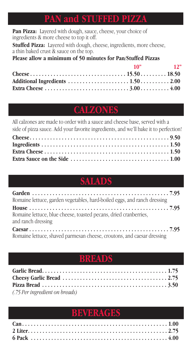### **PAN and STUFFED PIZZA**

**Pan Pizza:** Layered with dough, sauce, cheese, your choice of ingredients & more cheese to top it off.

**Stuffed Pizza:** Layered with dough, cheese, ingredients, more cheese, <sup>a</sup> thin baked crust & sauce on the top.

**Please allow a minimum of 50 minutes for Pan/Stuffed Pizzas**

| $10"$ $12"$ |  |
|-------------|--|
|             |  |
|             |  |
|             |  |

# **CALZONES**

All calzones are made to order with a sauce and cheese base, served with a side of pizza sauce. Add your favorite ingredients, and we'll bake it to perfection!

# **SALADS**

**SALADS**

| Romaine lettuce, garden vegetables, hard-boiled eggs, and ranch dressing                                                                                                                                                           |  |
|------------------------------------------------------------------------------------------------------------------------------------------------------------------------------------------------------------------------------------|--|
|                                                                                                                                                                                                                                    |  |
| Romaine lettuce, blue cheese, toasted pecans, dried cranberries,<br>and ranch dressing                                                                                                                                             |  |
| $\mathbf{n}$ , the set of the set of the set of the set of the set of the set of the set of the set of the set of the set of the set of the set of the set of the set of the set of the set of the set of the set of the set of th |  |

Romaine lettuce, shaved parmesan cheese, croutons, and caesar dressing

### **BREAD**

| (.75 Per ingredient on breads) |  |
|--------------------------------|--|

# **BEVERAGES**